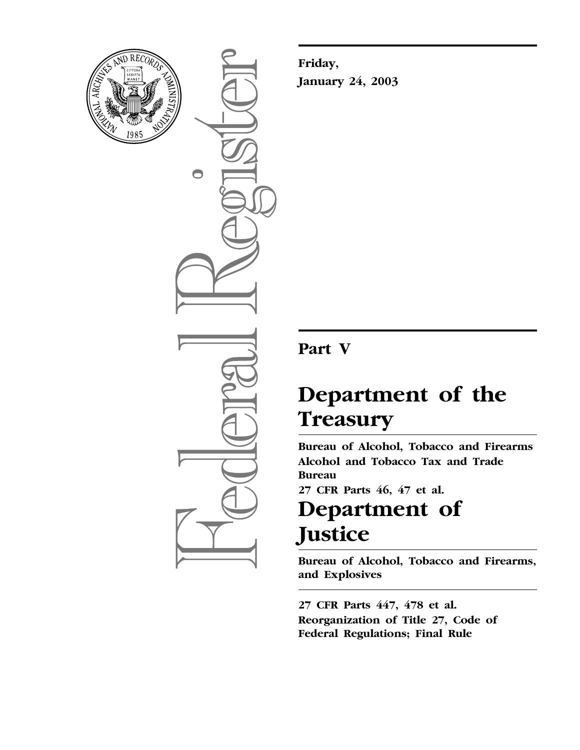

 $\bigcirc$ 

**Friday, January 24, 2003**

# **Part V**

# **Department of the Treasury**

**Bureau of Alcohol, Tobacco and Firearms Alcohol and Tobacco Tax and Trade Bureau** 

**27 CFR Parts 46, 47 et al.**

# **Department of Justice**

**Bureau of Alcohol, Tobacco and Firearms, and Explosives** 

**27 CFR Parts 447, 478 et al. Reorganization of Title 27, Code of Federal Regulations; Final Rule**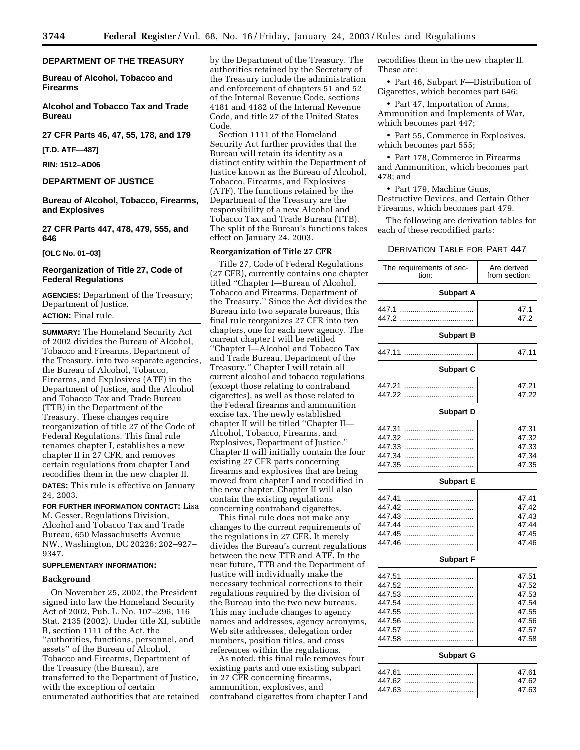#### **DEPARTMENT OF THE TREASURY**

**Bureau of Alcohol, Tobacco and Firearms** 

**Alcohol and Tobacco Tax and Trade Bureau** 

#### **27 CFR Parts 46, 47, 55, 178, and 179**

**[T.D. ATF—487]** 

#### **RIN: 1512–AD06**

#### **DEPARTMENT OF JUSTICE**

**Bureau of Alcohol, Tobacco, Firearms, and Explosives** 

**27 CFR Parts 447, 478, 479, 555, and 646**

**[OLC No. 01–03]** 

#### **Reorganization of Title 27, Code of Federal Regulations**

**AGENCIES:** Department of the Treasury; Department of Justice. **ACTION:** Final rule.

**SUMMARY:** The Homeland Security Act of 2002 divides the Bureau of Alcohol, Tobacco and Firearms, Department of the Treasury, into two separate agencies, the Bureau of Alcohol, Tobacco, Firearms, and Explosives (ATF) in the Department of Justice, and the Alcohol and Tobacco Tax and Trade Bureau (TTB) in the Department of the Treasury. These changes require reorganization of title 27 of the Code of Federal Regulations. This final rule renames chapter I, establishes a new chapter II in 27 CFR, and removes certain regulations from chapter I and recodifies them in the new chapter II. **DATES:** This rule is effective on January 24, 2003.

**FOR FURTHER INFORMATION CONTACT:** Lisa M. Gesser, Regulations Division, Alcohol and Tobacco Tax and Trade Bureau, 650 Massachusetts Avenue NW., Washington, DC 20226; 202–927– 9347.

#### **SUPPLEMENTARY INFORMATION:**

#### **Background**

On November 25, 2002, the President signed into law the Homeland Security Act of 2002, Pub. L. No. 107–296, 116 Stat. 2135 (2002). Under title XI, subtitle B, section 1111 of the Act, the ''authorities, functions, personnel, and assets'' of the Bureau of Alcohol, Tobacco and Firearms, Department of the Treasury (the Bureau), are transferred to the Department of Justice, with the exception of certain enumerated authorities that are retained

by the Department of the Treasury. The authorities retained by the Secretary of the Treasury include the administration and enforcement of chapters 51 and 52 of the Internal Revenue Code, sections 4181 and 4182 of the Internal Revenue Code, and title 27 of the United States Code.

Section 1111 of the Homeland Security Act further provides that the Bureau will retain its identity as a distinct entity within the Department of Justice known as the Bureau of Alcohol, Tobacco, Firearms, and Explosives (ATF). The functions retained by the Department of the Treasury are the responsibility of a new Alcohol and Tobacco Tax and Trade Bureau (TTB). The split of the Bureau's functions takes effect on January 24, 2003.

#### **Reorganization of Title 27 CFR**

Title 27, Code of Federal Regulations (27 CFR), currently contains one chapter titled ''Chapter I—Bureau of Alcohol, Tobacco and Firearms, Department of the Treasury.'' Since the Act divides the Bureau into two separate bureaus, this final rule reorganizes 27 CFR into two chapters, one for each new agency. The current chapter I will be retitled ''Chapter I—Alcohol and Tobacco Tax and Trade Bureau, Department of the Treasury.'' Chapter I will retain all current alcohol and tobacco regulations (except those relating to contraband cigarettes), as well as those related to the Federal firearms and ammunition excise tax. The newly established chapter II will be titled ''Chapter II— Alcohol, Tobacco, Firearms, and Explosives, Department of Justice.'' Chapter II will initially contain the four existing 27 CFR parts concerning firearms and explosives that are being moved from chapter I and recodified in the new chapter. Chapter II will also contain the existing regulations concerning contraband cigarettes.

This final rule does not make any changes to the current requirements of the regulations in 27 CFR. It merely divides the Bureau's current regulations between the new TTB and ATF. In the near future, TTB and the Department of Justice will individually make the necessary technical corrections to their regulations required by the division of the Bureau into the two new bureaus. This may include changes to agency names and addresses, agency acronyms, Web site addresses, delegation order numbers, position titles, and cross references within the regulations.

As noted, this final rule removes four existing parts and one existing subpart in 27 CFR concerning firearms, ammunition, explosives, and contraband cigarettes from chapter I and recodifies them in the new chapter II. These are:

• Part 46, Subpart F—Distribution of Cigarettes, which becomes part 646;

• Part 47, Importation of Arms, Ammunition and Implements of War, which becomes part 447;

• Part 55, Commerce in Explosives, which becomes part 555;

• Part 178, Commerce in Firearms and Ammunition, which becomes part 478; and

• Part 179, Machine Guns, Destructive Devices, and Certain Other Firearms, which becomes part 479.

The following are derivation tables for each of these recodified parts:

#### DERIVATION TABLE FOR PART 447

| The requirements of sec-<br>tion: | Are derived<br>from section: |
|-----------------------------------|------------------------------|
| <b>Subpart A</b>                  |                              |
| 447.1<br>447.2                    | 47.1<br>47.2                 |
| <b>Subpart B</b>                  |                              |
| 447.11                            | 47.11                        |
| <b>Subpart C</b>                  |                              |
| 447.21                            | 47.21                        |
| 447.22                            | 47.22                        |
| <b>Subpart D</b>                  |                              |
| 447.31                            | 47.31                        |
| 447.32                            | 47.32                        |
| 447.33                            | 47.33                        |
| 447.34                            | 47.34                        |
| 447.35                            | 47.35                        |
| <b>Subpart E</b>                  |                              |
| 447.41                            | 47.41                        |
| 447.42                            | 47.42                        |
| 447.43<br>.                       | 47.43                        |
| 447.44                            | 47.44                        |
| 447.45                            | 47.45                        |
| 447.46                            | 47.46                        |
| <b>Subpart F</b>                  |                              |
| 447.51<br>.                       | 47.51                        |
| 447.52                            | 47.52                        |
| 447.53<br>.                       | 47.53                        |
| 447.54                            | 47.54                        |
| 447.55                            | 47.55                        |
| 447.56                            | 47.56                        |
| 447.57                            | 47.57                        |
| 447.58                            | 47.58                        |
| <b>Subpart G</b>                  |                              |
| 447.61                            | 47.61                        |
| 447.62                            | 47.62                        |
| 447.63                            | 47.63                        |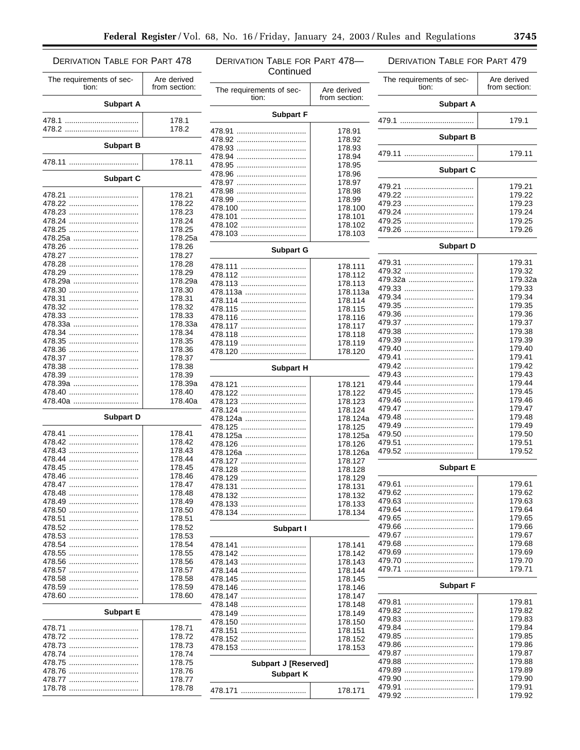#### **DERIVATION TABLE FOR PART 478-DERIVATION TABLE FOR PART 478 DERIVATION TABLE FOR PART 479** Continued The requirements of sec-Are derived The requirements of sec-Are derived tion: from section: tion: from section: The requirements of sec-Are derived tion: from section: **Subpart A Subpart A Subpart F** 178.1 179.1 178.2 178.91 **Subpart B** 478.92 .................................. 178.92 **Subpart B** 178.93 479.11 ................................. 179.11 178.94 178.11 478.95 .................................. 178.95 **Subpart C** 178.96 Subpart C 178.97 479.21 .................................. 179 21 178.98 178.21 179.22 178.99 178.22 179.23 178.100 178.23 179.24 478.101 ................................. 178.101 178.24 179.25 478.102 ................................. 178.102 478.25 .................................. 178.25 479.26 .................................. 179.26  $478.103$ 178.103 478.25a ................................ 178.25a **Subpart D** 478.26 .................................. 178.26 **Subpart G** 178.27 479.31 .................................. 179.31 478.28 178 28 178.111 17932 178.29 478.112 ................................ 178.112 479.32a ............................... 179.32a 478.29a ................................ 178.29a 478.113 ................................. 178.113 179.33 178.30 478.113a .............................. 178.113a 479.34 .................................. 179.34 178.31 478.114 ................................. 178.114 179.35 478.32 .................................. 178.32 478.115 ................................. 178.115 178.33 179.36 478.116 ................................. 178.116 179.37 478.33a ................................. 178.33a 178.117 179.38 178.34 178.118 179.39 178.35 478.119 ................................. 178.119 179.40 178.36 478.120 ................................ 178.120 178.37 479.41 .................................. 179.41 179.42 178.38 **Subpart H** 479.43 .................................. 179.43 478.39 .................................. 178.39 478.39a ................................. 179.44 178.39a 478.121 ................................ 178.121 479.45 .................................. 178.40 179.45 478.122 ................................. 178.122 478.40a ................................. 178.40a 179.46 478.123 ................................ 178.123 478.124 ................................. 178.124 179.47 **Subpart D** 479.48 .................................. 179.48  $478.124a$ 178.124a 179.49 478.125 ................................. 178.125 178 41 179.50 478.125a ............................. 178.125a 478.42 .................................. 178.42 479.51 .................................. 179.51 478.126 ................................. 178.126 178.43 179.52 478.126a .............................. 178.126a 178.44 478.127 ................................. 178.127 178.45 **Subpart E** 478.45 .................................. 478.128 ................................. 178.128 178 46 478.129 ................................. 178.129 179.61 178.47 478.131 ................................ 178.131 178.48 179.62 478.132 ................................ 178.132 179.63 478.49 .................................. 178.49 478.133 ................................. 178.133 179.64 178.50 478.134 ................................. 178.134 179.65 178.51 478.52 .................................. 178.52 179.66 Subpart I 178.53 179.67 179.68 178.54 178.141 179.69 178.55 178 142 179.70 178.56 478.143 ................................. 178.143 178.57 179.71 178.144 178.58 478.145 ................................. 178.145 **Subpart F** 478.59 .................................. 178.59 478.146 ................................. 178.146 478.147 ................................. 178.60 178 147 179.81 478.148 ................................ 178.148 179.82 **Subpart E** 478.149 ................................. 178.149 17983 478.150 ................................ 178.150 178.71 179.84 478.151 ................................. 178.151 17985 178.72 478.152 ................................. 178 152 479.86 .................................. 179.86 178.73 478.153 ................................ 178.153 179.87 178.74 178.75 17988 **Subpart J [Reserved]** 178 76 17989 **Subpart K** 179.90 178.77 179.91 178.78 178.171

179.92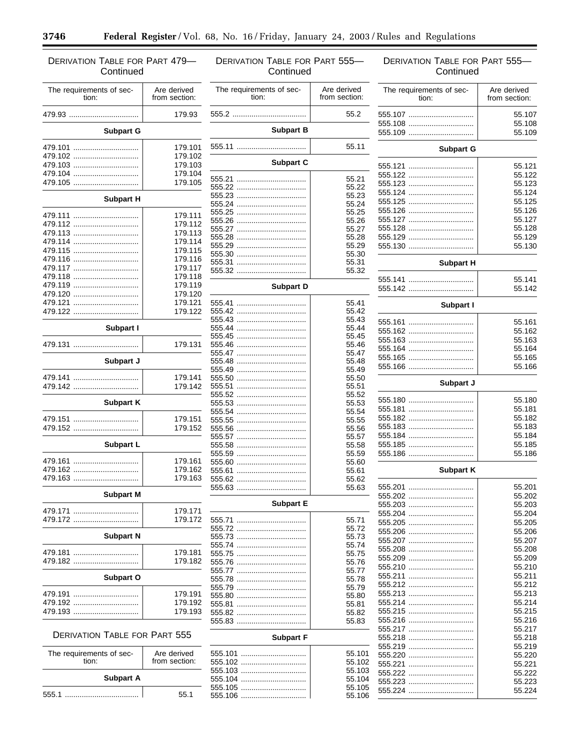۳

۰

# DERIVATION TABLE FOR PART 479— **Continued**

| The requirements of sec-<br>tion: | Are derived<br>from section: |  |
|-----------------------------------|------------------------------|--|
| 479.93                            | 179.93                       |  |
| <b>Subpart G</b>                  |                              |  |
| 479.101                           | 179.101                      |  |
| 479.102                           | 179.102                      |  |
| 479.103                           | 179.103                      |  |
| 479.104                           | 179.104                      |  |
| 479.105                           | 179.105                      |  |
| <b>Subpart H</b>                  |                              |  |
| 479.111                           | 179.111                      |  |
| 479.112                           | 179.112                      |  |
| 479.113                           | 179.113                      |  |
| 479.114                           | 179.114                      |  |
| 479.115                           | 179.115                      |  |
| 479.116                           | 179.116                      |  |
| 479.117                           | 179.117                      |  |
| 479.118                           | 179.118                      |  |
| 479.119                           | 179.119                      |  |
| 479.120                           | 179.120                      |  |
| 479.121                           | 179.121                      |  |
| 479.122                           | 179.122                      |  |
|                                   |                              |  |
| Subpart I                         |                              |  |
| 479.131                           | 179.131                      |  |
| Subpart J                         |                              |  |
| 479.141                           | 179.141                      |  |
| 479.142                           | 179.142                      |  |
| <b>Subpart K</b>                  |                              |  |
|                                   |                              |  |
| 479.151<br>479.152                | 179.151<br>179.152           |  |
| Subpart L                         |                              |  |
|                                   |                              |  |
| 479.161                           | 179.161                      |  |
| 479.162                           | 179.162                      |  |
| 479.163<br>                       | 179.163                      |  |
| <b>Subpart M</b>                  |                              |  |
| 479.171                           | 179.171                      |  |
| 479.172                           | 179.172                      |  |
|                                   |                              |  |
| <b>Subpart N</b>                  |                              |  |
| 479.181<br>.                      | 179.181                      |  |
| 479.182                           | 179.182                      |  |
| Subpart O                         |                              |  |
| 479.191                           | 179.191                      |  |
| 479.192                           | 179.192                      |  |
| 479.193                           | 179.193                      |  |
|                                   |                              |  |

### DERIVATION TABLE FOR PART 555

| The requirements of sec-<br>tion: | Are derived<br>from section: |
|-----------------------------------|------------------------------|
| <b>Subpart A</b>                  |                              |
| 555.1                             | 55 1                         |

| <b>DERIVATION TABLE FOR PART 555-</b><br>Continued |                              | <b>DERIVATION TABLE FOR PART 555-</b><br>Continued |                              |
|----------------------------------------------------|------------------------------|----------------------------------------------------|------------------------------|
| The requirements of sec-<br>tion:                  | Are derived<br>from section: | The requirements of sec-<br>tion:                  | Are derived<br>from section: |
|                                                    | 55.2                         | 555.107                                            | 55.10                        |
| <b>Subpart B</b>                                   |                              | 555.108<br>555.109                                 | 55.10<br>55.10               |
|                                                    | 55.11                        |                                                    |                              |
|                                                    |                              | <b>Subpart G</b>                                   |                              |
| <b>Subpart C</b>                                   |                              |                                                    | 55.12                        |
|                                                    | 55.21                        | 555.123                                            | 55.12<br>55.12               |
|                                                    | 55.22                        | 555.124                                            | 55.12                        |
|                                                    | 55.23<br>55.24               |                                                    | 55.12                        |
|                                                    | 55.25                        | 555.126                                            | 55.12                        |
|                                                    | 55.26                        | 555.127                                            | 55.12                        |
|                                                    | 55.27                        | 555.128                                            | 55.12                        |
|                                                    | 55.28                        | 555.129                                            | 55.12                        |
|                                                    | 55.29                        | 555.130                                            | 55.13                        |
|                                                    | 55.30                        |                                                    |                              |
|                                                    | 55.31<br>55.32               | <b>Subpart H</b>                                   |                              |
| Subpart D                                          |                              | 555.142                                            | 55.14<br>55.14               |
|                                                    | 55.41                        | Subpart I                                          |                              |
|                                                    | 55.42                        |                                                    |                              |
|                                                    | 55.43                        |                                                    | 55.16                        |
|                                                    | 55.44<br>55.45               | 555.162                                            | 55.16                        |
|                                                    | 55.46                        | 555.163                                            | 55.16                        |
|                                                    | 55.47                        | 555.164                                            | 55.16                        |
|                                                    | 55.48                        |                                                    | 55.16                        |
|                                                    | 55.49                        |                                                    | 55.16                        |
|                                                    | 55.50                        | Subpart J                                          |                              |
|                                                    | 55.51                        |                                                    |                              |
|                                                    | 55.52                        | 555.180                                            | 55.18                        |
|                                                    | 55.53<br>55.54               |                                                    | 55.18                        |
|                                                    | 55.55                        | 555.182                                            | 55.18                        |
|                                                    | 55.56                        | 555.183                                            | 55.18                        |
|                                                    | 55.57                        | 555.184                                            | 55.18                        |
|                                                    | 55.58                        |                                                    | 55.18                        |
|                                                    | 55.59                        | 555.186                                            | 55.18                        |
|                                                    | 55.60                        |                                                    |                              |
|                                                    | 55.61                        | <b>Subpart K</b>                                   |                              |
|                                                    | 55.62<br>55.63               | 555.201                                            | 55.20                        |
|                                                    |                              |                                                    | 55.20                        |
| <b>Subpart E</b>                                   |                              | 555.203                                            | 55.20                        |
|                                                    |                              | 555.204                                            | 55.20                        |
|                                                    | 55.71                        |                                                    | 55.20                        |
|                                                    | 55.72                        | 555.206                                            | 55.20                        |
|                                                    | 55.73                        | 555.207                                            | 55.20                        |
|                                                    | 55.74                        | 555.208                                            | 55.20                        |
|                                                    | 55.75<br>55.76               | 555.209                                            | 55.20                        |
|                                                    | 55.77                        | 555.210                                            | 55.21                        |
|                                                    | 55.78                        |                                                    | 55.21                        |
|                                                    | 55.79                        |                                                    | 55.21                        |
|                                                    | 55.80                        | 555.213                                            | 55.21                        |
|                                                    | 55.81                        | 555.214                                            | 55.21                        |
|                                                    | 55.82                        |                                                    | 55.21                        |
|                                                    | 55.83                        | 555.216                                            | 55.21                        |
|                                                    |                              | 555.217                                            | 55.21                        |
| <b>Subpart F</b>                                   |                              | 555.218                                            | 55.21                        |
|                                                    | 55.101                       | 555.219                                            | 55.21                        |
| 555.102                                            | 55.102                       |                                                    | 55.22<br>55.22               |
| 555.103                                            | 55.103                       |                                                    | 55.22                        |
| 555.104                                            | 55.104                       |                                                    | 55.22                        |
|                                                    | 55.105                       | <b>EEE 224</b>                                     | <b>EE 23</b>                 |

555.106 ............................... 55.106

### s of sec-Are derived from section: 555.107 ............................... 55.107 555.108 ............................... 55.108 555.109 ............................... 55.109 **Subpart G** 555.121 ............................... 55.121 555.122 ............................... 55.122 555.123 ............................... 55.123 555.124 ............................... 55.124 555.125 ............................... 55.125 555.126 ............................... 55.126 555.127 ............................... 55.127 555.128 ............................... 55.128 555.129 ............................... 55.129 ................ **Subpart H** 555.141 ............................... 55.141 555.142 ............................... 55.142 **Subpart I** 555.161 ............................... 55.161 ................. 555.163 ............................... 55.163 555.164 ............................... 55.164 555.165 ............................... 55.165

| Subpart J |        |  |
|-----------|--------|--|
|           | 55.180 |  |
|           | 55.181 |  |
|           | 55.182 |  |
|           | 55.183 |  |
|           | 55.184 |  |
|           | 55.185 |  |
|           | 55.186 |  |

555.166 ............................... 55.166

#### **Subpart K**

|                  | 55.62  |         |        |
|------------------|--------|---------|--------|
|                  | 55.63  | 555.201 | 55.201 |
|                  |        |         | 55.202 |
| <b>Subpart E</b> |        |         | 55.203 |
|                  |        |         | 55.204 |
|                  | 55.71  |         | 55.205 |
|                  | 55.72  | 555.206 | 55.206 |
|                  | 55.73  | 555.207 | 55.207 |
|                  | 55.74  | 555.208 | 55.208 |
|                  | 55.75  | 555.209 | 55.209 |
|                  | 55.76  |         |        |
|                  | 55.77  | 555.210 | 55.210 |
|                  | 55.78  |         | 55.211 |
|                  | 55.79  |         | 55.212 |
|                  | 55.80  |         | 55.213 |
|                  | 55.81  | 555.214 | 55.214 |
|                  | 55.82  |         | 55.215 |
|                  | 55.83  | 555.216 | 55.216 |
|                  |        | 555.217 | 55.217 |
| <b>Subpart F</b> |        | 555.218 | 55.218 |
|                  |        | 555.219 | 55.219 |
|                  | 55.101 |         | 55.220 |
| 555.102          | 55.102 |         | 55.221 |
|                  | 55.103 |         | 55.222 |
| 555.104          | 55.104 |         | 55.223 |
|                  | 55.105 |         | 55.224 |
|                  | 55.106 |         |        |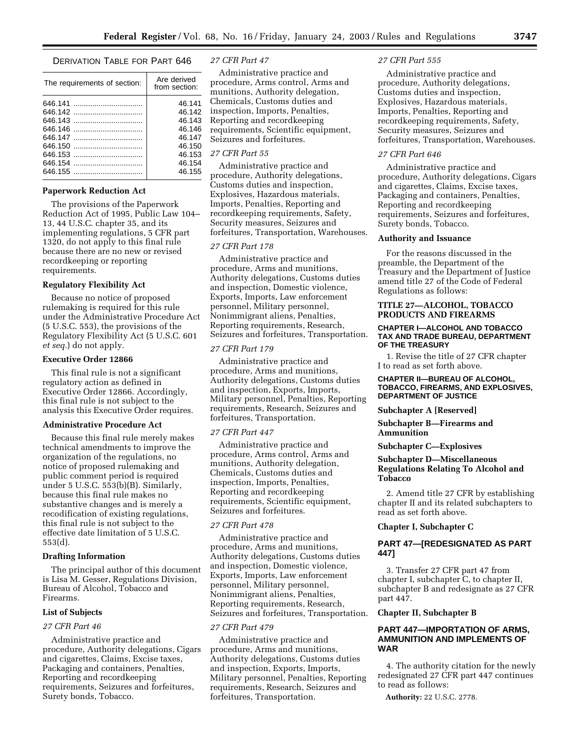#### DERIVATION TABLE FOR PART 646

| The requirements of section: | Are derived<br>from section: |
|------------------------------|------------------------------|
|                              | 46.141                       |
| 646.142                      | 46.142                       |
|                              | 46.143                       |
|                              | 46.146                       |
|                              | 46.147                       |
| 646.150                      | 46.150                       |
|                              | 46.153                       |
| 646.154                      | 46.154                       |
|                              | 46.155                       |
|                              |                              |

#### **Paperwork Reduction Act**

The provisions of the Paperwork Reduction Act of 1995, Public Law 104– 13, 44 U.S.C. chapter 35, and its implementing regulations, 5 CFR part 1320, do not apply to this final rule because there are no new or revised recordkeeping or reporting requirements.

#### **Regulatory Flexibility Act**

Because no notice of proposed rulemaking is required for this rule under the Administrative Procedure Act (5 U.S.C. 553), the provisions of the Regulatory Flexibility Act (5 U.S.C. 601 *et seq.*) do not apply.

#### **Executive Order 12866**

This final rule is not a significant regulatory action as defined in Executive Order 12866. Accordingly, this final rule is not subject to the analysis this Executive Order requires.

#### **Administrative Procedure Act**

Because this final rule merely makes technical amendments to improve the organization of the regulations, no notice of proposed rulemaking and public comment period is required under 5 U.S.C. 553(b)(B). Similarly, because this final rule makes no substantive changes and is merely a recodification of existing regulations, this final rule is not subject to the effective date limitation of 5 U.S.C. 553(d).

#### **Drafting Information**

The principal author of this document is Lisa M. Gesser, Regulations Division, Bureau of Alcohol, Tobacco and Firearms.

#### **List of Subjects**

#### *27 CFR Part 46*

Administrative practice and procedure, Authority delegations, Cigars and cigarettes, Claims, Excise taxes, Packaging and containers, Penalties, Reporting and recordkeeping requirements, Seizures and forfeitures, Surety bonds, Tobacco.

#### *27 CFR Part 47*

Administrative practice and procedure, Arms control, Arms and munitions, Authority delegation, Chemicals, Customs duties and inspection, Imports, Penalties, Reporting and recordkeeping requirements, Scientific equipment, Seizures and forfeitures.

#### *27 CFR Part 55*

Administrative practice and procedure, Authority delegations, Customs duties and inspection, Explosives, Hazardous materials, Imports, Penalties, Reporting and recordkeeping requirements, Safety, Security measures, Seizures and forfeitures, Transportation, Warehouses.

#### *27 CFR Part 178*

Administrative practice and procedure, Arms and munitions, Authority delegations, Customs duties and inspection, Domestic violence, Exports, Imports, Law enforcement personnel, Military personnel, Nonimmigrant aliens, Penalties, Reporting requirements, Research, Seizures and forfeitures, Transportation.

#### *27 CFR Part 179*

Administrative practice and procedure, Arms and munitions, Authority delegations, Customs duties and inspection, Exports, Imports, Military personnel, Penalties, Reporting requirements, Research, Seizures and forfeitures, Transportation.

#### *27 CFR Part 447*

Administrative practice and procedure, Arms control, Arms and munitions, Authority delegation, Chemicals, Customs duties and inspection, Imports, Penalties, Reporting and recordkeeping requirements, Scientific equipment, Seizures and forfeitures.

#### *27 CFR Part 478*

Administrative practice and procedure, Arms and munitions, Authority delegations, Customs duties and inspection, Domestic violence, Exports, Imports, Law enforcement personnel, Military personnel, Nonimmigrant aliens, Penalties, Reporting requirements, Research, Seizures and forfeitures, Transportation.

#### *27 CFR Part 479*

Administrative practice and procedure, Arms and munitions, Authority delegations, Customs duties and inspection, Exports, Imports, Military personnel, Penalties, Reporting requirements, Research, Seizures and forfeitures, Transportation.

#### *27 CFR Part 555*

Administrative practice and procedure, Authority delegations, Customs duties and inspection, Explosives, Hazardous materials, Imports, Penalties, Reporting and recordkeeping requirements, Safety, Security measures, Seizures and forfeitures, Transportation, Warehouses.

#### *27 CFR Part 646*

Administrative practice and procedure, Authority delegations, Cigars and cigarettes, Claims, Excise taxes, Packaging and containers, Penalties, Reporting and recordkeeping requirements, Seizures and forfeitures, Surety bonds, Tobacco.

#### **Authority and Issuance**

For the reasons discussed in the preamble, the Department of the Treasury and the Department of Justice amend title 27 of the Code of Federal Regulations as follows:

#### **TITLE 27—ALCOHOL, TOBACCO PRODUCTS AND FIREARMS**

#### **CHAPTER I—ALCOHOL AND TOBACCO TAX AND TRADE BUREAU, DEPARTMENT OF THE TREASURY**

1. Revise the title of 27 CFR chapter I to read as set forth above.

#### **CHAPTER II—BUREAU OF ALCOHOL, TOBACCO, FIREARMS, AND EXPLOSIVES, DEPARTMENT OF JUSTICE**

**Subchapter A [Reserved]** 

#### **Subchapter B—Firearms and Ammunition**

#### **Subchapter C—Explosives**

#### **Subchapter D—Miscellaneous Regulations Relating To Alcohol and Tobacco**

2. Amend title 27 CFR by establishing chapter II and its related subchapters to read as set forth above.

#### **Chapter I, Subchapter C**

#### **PART 47—[REDESIGNATED AS PART 447]**

3. Transfer 27 CFR part 47 from chapter I, subchapter C, to chapter II, subchapter B and redesignate as 27 CFR part 447.

#### **Chapter II, Subchapter B**

#### **PART 447—IMPORTATION OF ARMS, AMMUNITION AND IMPLEMENTS OF WAR**

4. The authority citation for the newly redesignated 27 CFR part 447 continues to read as follows:

**Authority:** 22 U.S.C. 2778.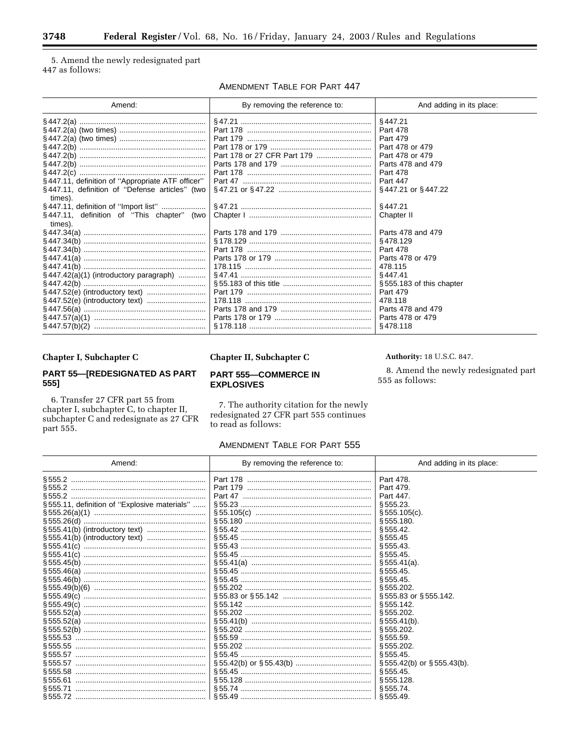5. Amend the newly redesignated part 447 as follows:

AMENDMENT TABLE FOR PART 447

| Amend:                                                    | By removing the reference to: | And adding in its place: |
|-----------------------------------------------------------|-------------------------------|--------------------------|
|                                                           |                               | §447.21                  |
|                                                           |                               | Part 478                 |
|                                                           |                               | Part 479                 |
|                                                           |                               | Part 478 or 479          |
|                                                           |                               | Part 478 or 479          |
|                                                           |                               | Parts 478 and 479        |
|                                                           |                               | Part 478                 |
| §447.11, definition of "Appropriate ATF officer"          |                               | <b>Part 447</b>          |
| §447.11, definition of "Defense articles" (two<br>times). |                               | §447.21 or §447.22       |
|                                                           |                               | §447.21                  |
| §447.11, definition of "This chapter" (two                |                               | Chapter II               |
| times).                                                   |                               |                          |
|                                                           |                               | Parts 478 and 479        |
|                                                           |                               | §478.129                 |
|                                                           |                               | Part 478                 |
|                                                           |                               | Parts 478 or 479         |
|                                                           |                               | 478.115                  |
| $\S$ 447.42(a)(1) (introductory paragraph)                |                               | §447.41                  |
|                                                           |                               | §555.183 of this chapter |
|                                                           |                               | Part 479                 |
|                                                           |                               | 478.118                  |
|                                                           |                               | Parts 478 and 479        |
|                                                           |                               | Parts 478 or 479         |
|                                                           |                               | §478.118                 |

#### Chapter I, Subchapter C

#### PART 55-[REDESIGNATED AS PART 555]

6. Transfer 27 CFR part 55 from chapter I, subchapter C, to chapter II, subchapter C and redesignate as 27 CFR part 555.

#### Chapter II, Subchapter C

#### **PART 555-COMMERCE IN EXPLOSIVES**

7. The authority citation for the newly redesignated  $27$  CFR part  $555$  continues to read as follows:

#### AMENDMENT TABLE FOR PART 555

| Amend:                                       | By removing the reference to: | And adding in its place:           |
|----------------------------------------------|-------------------------------|------------------------------------|
|                                              |                               | Part 478.                          |
|                                              |                               | Part 479.                          |
|                                              |                               | Part 447.                          |
| §555.11, definition of "Explosive materials" |                               | §555.23.                           |
|                                              |                               | $$555.105(c)$ .                    |
|                                              |                               | \$555.180.                         |
|                                              |                               | \$555.42.                          |
|                                              |                               | §555.45                            |
|                                              |                               | \$555.43.                          |
|                                              |                               | \$555.45                           |
|                                              |                               | $$555.41(a)$ .                     |
|                                              |                               | \$555.45.                          |
|                                              |                               | \$555.45.                          |
|                                              |                               | \$555.202.                         |
|                                              |                               | §555.83 or §555.142.               |
|                                              |                               | \$555.142.                         |
|                                              |                               | S 555.202.                         |
|                                              |                               | \$555.41(b).                       |
|                                              |                               | §555.202.                          |
|                                              |                               | \$555.59.                          |
|                                              |                               | §555.202.                          |
|                                              |                               | \$555.45.                          |
|                                              |                               | $\S 555.42(b)$ or $\S 555.43(b)$ . |
|                                              |                               | \$555.45.                          |
|                                              |                               | \$555.128.                         |
|                                              |                               | \$555.74.                          |
|                                              |                               | \$555.49                           |

Authority: 18 U.S.C. 847.

8. Amend the newly redesignated part  $555$  as follows: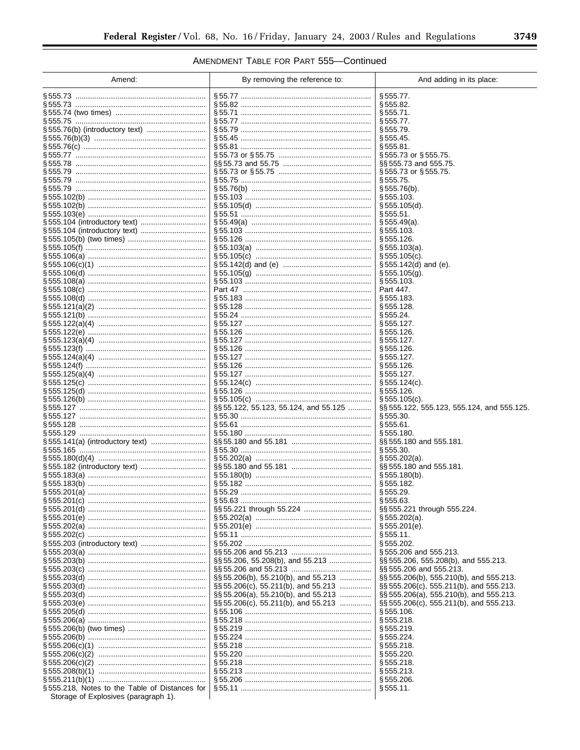▀

# AMENDMENT TABLE FOR PART 555-Continued

| Amend:                                        | By removing the reference to:           | And adding in its place:                    |
|-----------------------------------------------|-----------------------------------------|---------------------------------------------|
|                                               |                                         | § 555.77.                                   |
|                                               |                                         | § 555.82.                                   |
|                                               |                                         | § 555.71.                                   |
| § 555.75 ……………………………………………………                 |                                         | §555.77.                                    |
| § 555.76(b) (introductory text)               |                                         | § 555.79.                                   |
|                                               |                                         | § 555.45.                                   |
| § 555.76(c) …………………………………………………               |                                         | § 555.81.                                   |
|                                               |                                         | $\S 555.73$ or $\S 555.75$ .                |
|                                               |                                         | §§555.73 and 555.75.                        |
|                                               |                                         | $\S 555.73$ or $\S 555.75$ .                |
|                                               |                                         | § 555.75.                                   |
| § 555.79 ……………………………………………………                 |                                         | $\S 555.76(b)$ .<br>§ 555.103.              |
|                                               |                                         | § 555.105(d).                               |
|                                               |                                         | §555.51.                                    |
|                                               |                                         | $\S 555.49(a)$ .                            |
| § 555.104 (introductory text)                 |                                         | § 555.103.                                  |
|                                               |                                         | § 555.126.                                  |
|                                               |                                         | $\S 555.103(a)$ .                           |
|                                               |                                         | $$555.105(c)$ .                             |
|                                               |                                         | $§ 555.142(d)$ and (e).                     |
|                                               |                                         | $\S 555.105(g)$ .                           |
|                                               |                                         | § 555.103.                                  |
|                                               |                                         | Part 447.                                   |
|                                               |                                         | § 555.183.                                  |
|                                               |                                         | § 555.128.                                  |
|                                               |                                         | § 555.24.                                   |
|                                               |                                         | § 555.127.                                  |
|                                               |                                         | § 555.126.                                  |
|                                               |                                         | § 555.127.                                  |
|                                               |                                         | § 555.126.<br>§ 555.127.                    |
|                                               |                                         | § 555.126.                                  |
|                                               |                                         | § 555.127.                                  |
|                                               |                                         | $\S 555.124(c)$ .                           |
|                                               |                                         | § 555.126.                                  |
|                                               |                                         | $\S 555.105(c)$ .                           |
|                                               | §§55.122, 55.123, 55.124, and 55.125    | §§ 555.122, 555.123, 555.124, and 555.125.  |
|                                               |                                         | § 555.30.                                   |
|                                               |                                         | §555.61.                                    |
|                                               |                                         | § 555.180.                                  |
|                                               |                                         | $\S$ § 555.180 and 555.181.                 |
|                                               |                                         | § 555.30.                                   |
|                                               |                                         | § 555.202(a).                               |
|                                               |                                         | §§555.180 and 555.181.                      |
|                                               |                                         | $\S 555.180(b)$ .                           |
|                                               |                                         | § 555.182.<br>§ 555.29.                     |
| § 555.201(c) ………………………………………………               |                                         | §555.63.                                    |
|                                               |                                         | §§ 555.221 through 555.224.                 |
|                                               |                                         | $$555.202(a)$ .                             |
|                                               |                                         | $\S 555.201(e)$ .                           |
|                                               |                                         | § 555.11.                                   |
|                                               |                                         | § 555.202.                                  |
|                                               |                                         | §555.206 and 555.213.                       |
|                                               | §§55.206, 55.208(b), and 55.213         | $\S$ SS 555.206, 555.208(b), and 555.213.   |
| § 555.203(c) ………………………………………………               |                                         | §§555.206 and 555.213.                      |
| § 555.203(d) ………………………………………………               | §§55.206(b), 55.210(b), and 55.213      | §§ 555.206(b), 555.210(b), and 555.213.     |
|                                               | $\S$ § 55.206(c), 55.211(b), and 55.213 | $\S$ § 555.206(c), 555.211(b), and 555.213. |
|                                               | $\S$ § 55.206(a), 55.210(b), and 55.213 | $\S$ § 555.206(a), 555.210(b), and 555.213. |
| § 555.203(e) ………………………………………………               | $\S$ § 55.206(c), 55.211(b), and 55.213 | $\S$ § 555.206(c), 555.211(b), and 555.213. |
|                                               |                                         | § 555.106.                                  |
| § 555.206(a) ………………………………………………               |                                         | § 555.218.                                  |
|                                               |                                         | § 555.219.                                  |
| § 555.206(b) ………………………………………………               |                                         | § 555.224.                                  |
|                                               |                                         | § 555.218.                                  |
|                                               |                                         | § 555.220.                                  |
|                                               |                                         | § 555.218.<br>§ 555.213.                    |
|                                               |                                         | § 555.206.                                  |
| §555.218, Notes to the Table of Distances for |                                         | § 555.11.                                   |
| Storage of Explosives (paragraph 1).          |                                         |                                             |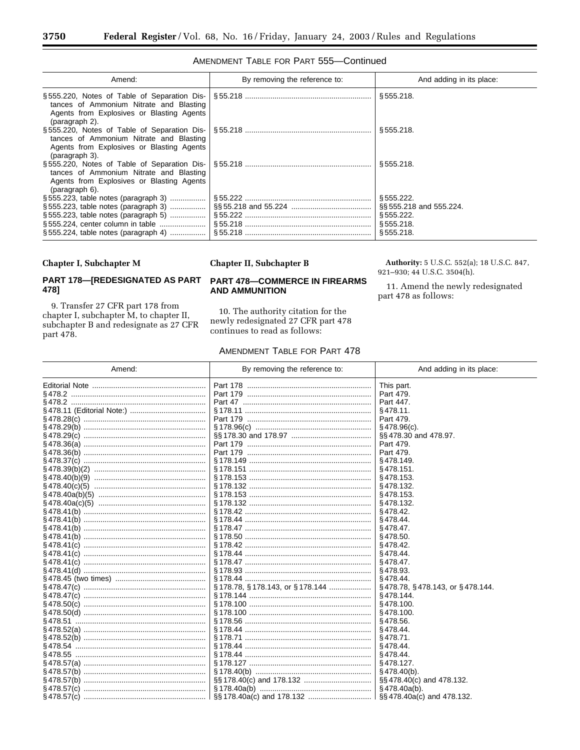| Amend:                                                                                                 | By removing the reference to: | And adding in its place:                                                      |
|--------------------------------------------------------------------------------------------------------|-------------------------------|-------------------------------------------------------------------------------|
| tances of Ammonium Nitrate and Blasting<br>Agents from Explosives or Blasting Agents<br>(paragraph 2). |                               | \$555.218.                                                                    |
| tances of Ammonium Nitrate and Blasting<br>Agents from Explosives or Blasting Agents<br>(paragraph 3). |                               | \$555.218.                                                                    |
| tances of Ammonium Nitrate and Blasting<br>Agents from Explosives or Blasting Agents<br>(paragraph 6). |                               | §555.218.                                                                     |
| $\S 555.224$ , table notes (paragraph 4)                                                               |                               | \$555.222.<br>\$§555.218 and 555.224.<br>§555.222.<br>\$555.218.<br>§555.218. |

#### AMENDMENT TABLE FOR PART 555-Continued

#### Chapter I, Subchapter M

#### PART 178-[REDESIGNATED AS PART 478]

9. Transfer 27 CFR part 178 from chapter I, subchapter M, to chapter II, subchapter B and redesignate as 27 CFR part 478.

#### **Chapter II, Subchapter B**

#### **PART 478-COMMERCE IN FIREARMS AND AMMUNITION**

10. The authority citation for the newly redesignated 27 CFR part 478 continues to read as follows:

#### AMENDMENT TABLE FOR PART 478

Authority: 5 U.S.C. 552(a); 18 U.S.C. 847, 921-930; 44 U.S.C. 3504(h).

11. Amend the newly redesignated part 478 as follows:

| Amend: | By removing the reference to:  | And adding in its place:                    |
|--------|--------------------------------|---------------------------------------------|
|        |                                | This part.                                  |
|        | Part 179                       | Part 479.                                   |
|        |                                | Part 447.                                   |
|        |                                | $§478.11$ .                                 |
|        | Part 179                       | Part 479.                                   |
|        |                                | $§$ 478.96(c).                              |
|        |                                | §§478.30 and 478.97.                        |
|        |                                | Part 479.                                   |
|        |                                | Part 479.                                   |
|        |                                | §478.149.                                   |
|        |                                | $§$ 478.151.                                |
|        |                                | §478.153.                                   |
|        |                                | §478.132.                                   |
|        |                                | $§$ 478.153.                                |
|        |                                | §478.132.                                   |
|        |                                | $§$ 478.42.                                 |
|        |                                | $§$ 478.44.                                 |
|        |                                | $§$ 478.47.                                 |
|        |                                | $§$ 478.50.                                 |
|        |                                | $§$ 478.42.                                 |
|        |                                | §478.44.                                    |
|        |                                | $§$ 478.47.                                 |
|        |                                | §478.93.                                    |
|        |                                | §478.44.                                    |
|        | §178.78, §178.143, or §178.144 | $\S$ 478.78, $\S$ 478.143, or $\S$ 478.144. |
|        |                                | §478.144.                                   |
|        |                                | §478.100.                                   |
|        |                                | $§$ 478.100.                                |
|        |                                | §478.56.                                    |
|        |                                | §478.44.                                    |
|        |                                | $§$ 478.71.                                 |
|        |                                | §478.44.                                    |
|        |                                | §478.44.                                    |
|        |                                | §478.127.                                   |
|        |                                | $§$ 478.40(b).                              |
|        |                                | §§478.40(c) and 478.132.                    |
|        |                                | $§$ 478.40a(b).                             |
|        |                                | §§478.40a(c) and 478.132.                   |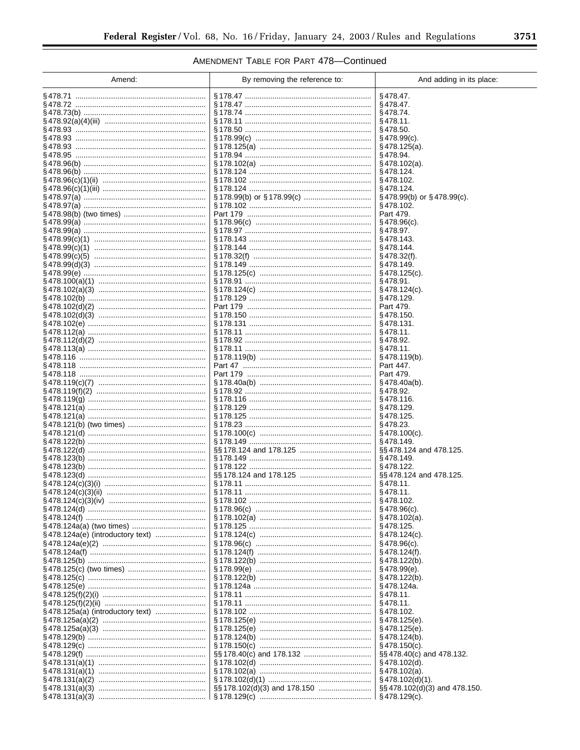# AMENDMENT TABLE FOR PART 478-Continued

| Amend:                       | By removing the reference to:  | And adding in its place:             |
|------------------------------|--------------------------------|--------------------------------------|
|                              | § 178.47 …………………………………………      | $§$ 478.47.                          |
|                              |                                | $§$ 478.47.                          |
|                              | § 178.74 ……………………………………………………  | $§$ 478.74.                          |
|                              |                                | $§$ 478.11.                          |
|                              |                                | §478.50.                             |
|                              |                                | $\S$ 478.99(c).                      |
|                              |                                | $\S 478.125(a)$ .                    |
| §478.95 …………………………………………………… | § 178.102(a) …………………………………………… | §478.94.<br>§478.102(a).             |
|                              |                                | §478.124.                            |
|                              |                                | §478.102.                            |
|                              |                                | \$478.124.                           |
|                              |                                | $\S$ 478.99(b) or $\S$ 478.99(c).    |
|                              |                                | $§$ 478.102.                         |
|                              |                                | Part 479.                            |
|                              |                                | $\S$ 478.96(c).                      |
|                              |                                | $§$ 478.97.<br>§478.143.             |
|                              |                                | §478.144.                            |
|                              |                                | $§$ 478.32(f).                       |
|                              |                                | §478.149.                            |
|                              |                                | $\S$ 478.125(c).                     |
|                              |                                | \$478.91.                            |
|                              |                                | $\S$ 478.124(c).                     |
|                              |                                | §478.129.                            |
|                              |                                | Part 479.                            |
|                              |                                | $§$ 478.150.<br>§478.131.            |
|                              |                                | $§$ 478.11.                          |
|                              |                                | $§$ 478.92.                          |
|                              |                                | $§$ 478.11.                          |
|                              |                                | $\S$ 478.119(b).                     |
|                              |                                | Part 447.                            |
|                              |                                | Part 479.                            |
|                              |                                | $\S$ 478.40a(b).<br>§478.92.         |
|                              |                                | §478.116.                            |
|                              |                                | §478.129.                            |
|                              |                                | $§$ 478.125.                         |
|                              |                                | \$478.23.                            |
|                              |                                | $\S$ 478.100(c).                     |
|                              |                                | §478.149.                            |
|                              |                                | §§ 478.124 and 478.125.<br>§478.149. |
|                              |                                | §478.122.                            |
|                              |                                | §§478.124 and 478.125.               |
|                              |                                | $§$ 478.11.                          |
|                              |                                | $§$ 478.11.                          |
|                              |                                | §478.102.                            |
|                              |                                | $§$ 478.96(c).                       |
|                              |                                | $\S$ 478.102(a).                     |
|                              |                                | $§$ 478.125.                         |
|                              |                                | $\S$ 478.124(c).<br>$\S$ 478.96(c).  |
|                              |                                | $§$ 478.124(f).                      |
|                              |                                | $\S$ 478.122(b).                     |
|                              |                                | $§$ 478.99 $(e)$ .                   |
|                              |                                | $\S$ 478.122(b).                     |
|                              |                                | §478.124a.                           |
|                              |                                | $§$ 478.11.                          |
|                              |                                | $§$ 478.11.                          |
|                              |                                | §478.102.                            |
|                              |                                | $§$ 478.125(e).                      |
|                              |                                | $\S$ 478.125(e).<br>$\S$ 478.124(b). |
|                              |                                | $\S$ 478.150(c).                     |
|                              |                                | §§478.40(c) and 478.132.             |
|                              |                                | $\S$ 478.102(d).                     |
|                              |                                | $\S$ 478.102(a).                     |
|                              |                                | $\S$ 478.102(d)(1).                  |
|                              |                                | §§478.102(d)(3) and 478.150.         |
|                              |                                | $\S$ 478.129(c).                     |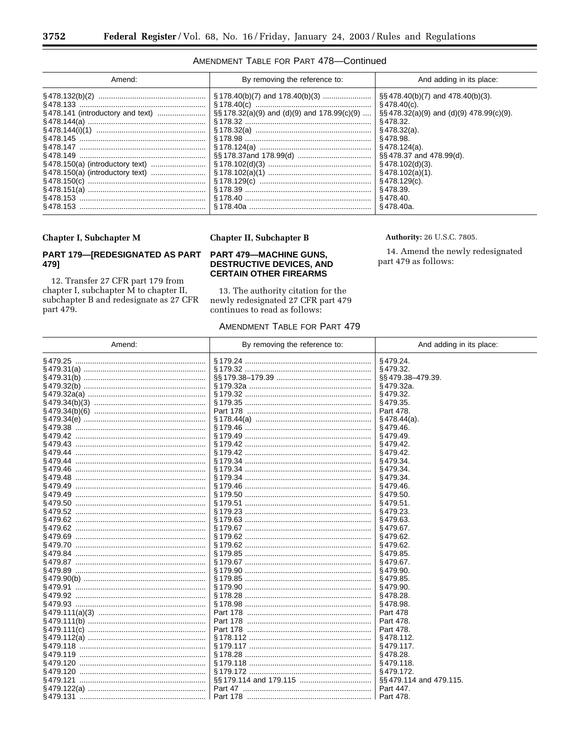#### AMENDMENT TABLE FOR PART 478-Continued

| Amend: | By removing the reference to:                   | And adding in its place:                    |
|--------|-------------------------------------------------|---------------------------------------------|
|        |                                                 | $\S$ §478.40(b)(7) and 478.40(b)(3).        |
|        |                                                 | §478.40(c).                                 |
|        | $\S$ § 178.32(a)(9) and (d)(9) and 178.99(c)(9) | $\S$ §478.32(a)(9) and (d)(9) 478.99(c)(9). |
|        |                                                 | § 478.32.                                   |
|        |                                                 | § 478.32(a).                                |
|        |                                                 | §478.98.                                    |
|        |                                                 | § 478.124(a).                               |
|        |                                                 | §§478.37 and 478.99(d).                     |
|        |                                                 | §478.102(d)(3).                             |
|        |                                                 | §478.102(a)(1).                             |
|        |                                                 | §478.129(c).                                |
|        |                                                 | §478.39.                                    |
|        |                                                 | §478.40.                                    |
|        | §178.40a …………………………………………………                    | §478.40a.                                   |

#### Chapter I, Subchapter M

#### PART 179-[REDESIGNATED AS PART 479]

12. Transfer 27 CFR part 179 from chapter I, subchapter M to chapter II, subchapter B and redesignate as 27 CFR part 479.

#### **Chapter II, Subchapter B**

#### **PART 479-MACHINE GUNS, DESTRUCTIVE DEVICES, AND CERTAIN OTHER FIREARMS**

13. The authority citation for the newly redesignated 27 CFR part 479 continues to read as follows:

#### AMENDMENT TABLE FOR PART 479

Authority: 26 U.S.C. 7805.

14. Amend the newly redesignated part 479 as follows:

| Amend:                          | By removing the reference to: | And adding in its place: |
|---------------------------------|-------------------------------|--------------------------|
|                                 |                               | §479.24.                 |
|                                 |                               | §479.32.                 |
|                                 |                               | §§479.38-479.39.         |
|                                 |                               | §479.32a.                |
|                                 |                               | §479.32.                 |
|                                 |                               | §479.35.                 |
|                                 |                               | Part 478.                |
| § 479.34(e) ………………………………………………… |                               | $\S$ 478.44(a).          |
|                                 |                               | §479.46.                 |
|                                 |                               | §479.49.                 |
|                                 |                               | §479.42.                 |
|                                 |                               | §479.42.                 |
|                                 |                               | §479.34                  |
|                                 |                               | §479.34.                 |
|                                 | §179.34 …………………………………………………   | §479.34.                 |
|                                 |                               | §479.46.                 |
|                                 |                               | §479.50.                 |
|                                 |                               | §479.51.                 |
|                                 |                               | §479.23.                 |
|                                 |                               | §479.63.                 |
|                                 |                               | §479.67.                 |
|                                 |                               | §479.62.                 |
|                                 |                               | §479.62.                 |
|                                 | §179.85 ……………………………………………………  | §479.85                  |
|                                 |                               | §479.67.                 |
|                                 |                               |                          |
|                                 |                               | §479.90.<br>§479.85      |
|                                 |                               |                          |
|                                 |                               | §479.90.                 |
|                                 |                               | §478.28.                 |
|                                 |                               | §478.98.                 |
|                                 |                               | Part 478                 |
|                                 |                               | Part 478.                |
|                                 |                               | Part 478.                |
|                                 |                               | §478.112.                |
|                                 |                               | §479.117.                |
|                                 |                               | §478.28.                 |
|                                 |                               | §479.118.                |
|                                 |                               | §479.172.                |
|                                 |                               | §§479.114 and 479.115.   |
|                                 |                               | Part 447.                |
|                                 |                               | Part 478.                |